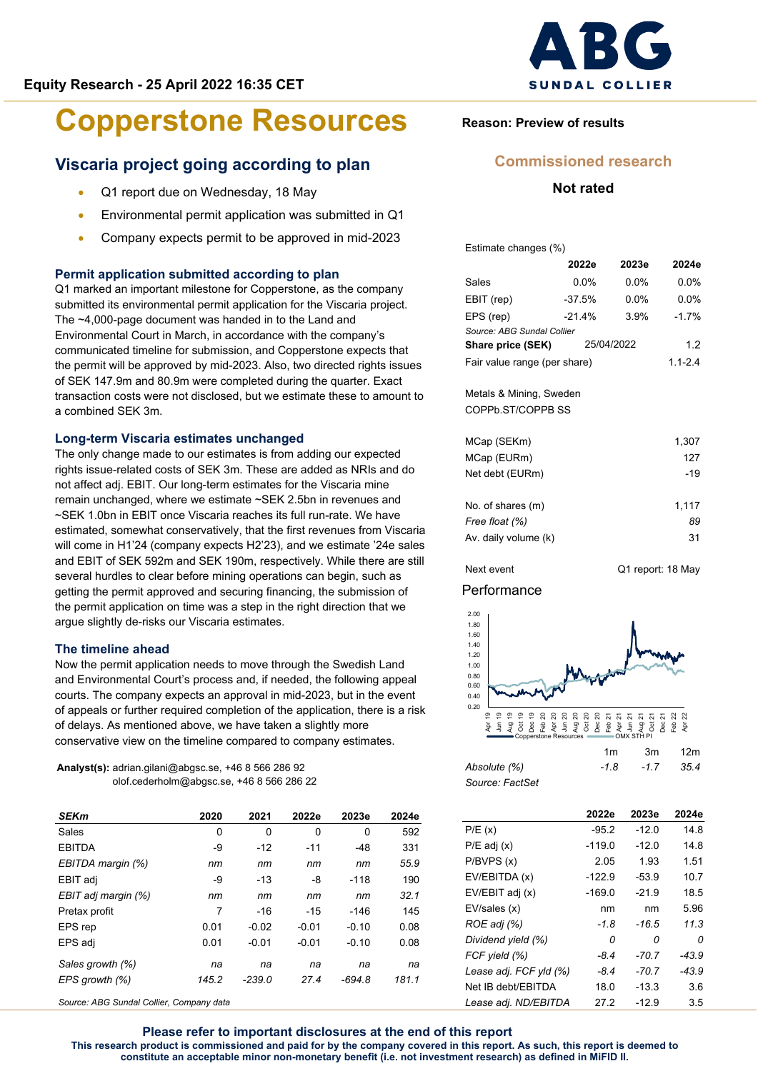# **Viscaria project going according to plan**

- Q1 report due on Wednesday, 18 May
- Environmental permit application was submitted in Q1
- Company expects permit to be approved in mid-2023

## **Permit application submitted according to plan**

Q1 marked an important milestone for Copperstone, as the company submitted its environmental permit application for the Viscaria project. The ~4,000-page document was handed in to the Land and Environmental Court in March, in accordance with the company's communicated timeline for submission, and Copperstone expects that the permit will be approved by mid-2023. Also, two directed rights issues of SEK 147.9m and 80.9m were completed during the quarter. Exact transaction costs were not disclosed, but we estimate these to amount to a combined SEK 3m.

#### **Long-term Viscaria estimates unchanged**

The only change made to our estimates is from adding our expected rights issue-related costs of SEK 3m. These are added as NRIs and do not affect adj. EBIT. Our long-term estimates for the Viscaria mine remain unchanged, where we estimate ~SEK 2.5bn in revenues and ~SEK 1.0bn in EBIT once Viscaria reaches its full run-rate. We have estimated, somewhat conservatively, that the first revenues from Viscaria will come in H1'24 (company expects H2'23), and we estimate '24e sales and EBIT of SEK 592m and SEK 190m, respectively. While there are still several hurdles to clear before mining operations can begin, such as getting the permit approved and securing financing, the submission of the permit application on time was a step in the right direction that we argue slightly de-risks our Viscaria estimates.

#### **The timeline ahead**

Now the permit application needs to move through the Swedish Land and Environmental Court's process and, if needed, the following appeal courts. The company expects an approval in mid-2023, but in the event of appeals or further required completion of the application, there is a risk of delays. As mentioned above, we have taken a slightly more conservative view on the timeline compared to company estimates.

**Analyst(s):** adrian.gilani@abgsc.se, +46 8 566 286 92 olof.cederholm@abgsc.se, +46 8 566 286 22

| <b>SEKm</b>         | 2020  | 2021     | 2022e   | 2023e    | 2024e |
|---------------------|-------|----------|---------|----------|-------|
| Sales               | 0     | 0        | 0       | 0        | 592   |
| <b>EBITDA</b>       | -9    | $-12$    | $-11$   | $-48$    | 331   |
| EBITDA margin (%)   | пm    | nm       | nm      | nm       | 55.9  |
| EBIT adj            | -9    | $-13$    | -8      | $-118$   | 190   |
| EBIT adj margin (%) | пm    | nm       | nm      | nm       | 32.1  |
| Pretax profit       | 7     | $-16$    | $-15$   | -146     | 145   |
| EPS rep             | 0.01  | $-0.02$  | $-0.01$ | $-0.10$  | 0.08  |
| EPS adi             | 0.01  | $-0.01$  | $-0.01$ | $-0.10$  | 0.08  |
| Sales growth (%)    | na    | na       | na      | na       | na    |
| EPS growth (%)      | 145.2 | $-239.0$ | 27.4    | $-694.8$ | 181.1 |
|                     |       |          |         |          |       |

*Source: ABG Sundal Collier, Company data*



# **Reason: Preview of results**

# **Commissioned research**

# **Not rated**

Estimate changes (%)

|                              | 2022e    | 2023e       | 2024e   |
|------------------------------|----------|-------------|---------|
| Sales                        | $0.0\%$  | $0.0\%$     | $0.0\%$ |
| EBIT (rep)                   | $-37.5%$ | 0. በ%       | $0.0\%$ |
| EPS (rep)                    | $-21.4%$ | 3.9%        | $-1.7%$ |
| Source: ABG Sundal Collier   |          |             |         |
| Share price (SEK)            |          | 25/04/2022  | 1.2     |
| Fair value range (per share) |          | $1.1 - 2.4$ |         |
|                              |          |             |         |

#### Metals & Mining, Sweden COPPb.ST/COPPB SS

| MCap (SEKm)          | 1,307 |
|----------------------|-------|
| MCap (EURm)          | 127   |
| Net debt (EURm)      | $-19$ |
|                      |       |
| No. of shares (m)    | 1.117 |
| Free float (%)       | 89    |
| Av. daily volume (k) | 31    |
|                      |       |

Next event G1 report: 18 May

# **Performance**



|                 | ,,,,   | - 3111 | ⊟∠⊞  |
|-----------------|--------|--------|------|
| Absolute (%)    | $-1.8$ | $-17$  | 35.4 |
| Source: FactSet |        |        |      |

|                        | 2022e    | 2023e   | 2024e   |
|------------------------|----------|---------|---------|
| P/E(x)                 | $-95.2$  | $-12.0$ | 14.8    |
| $P/E$ adj $(x)$        | $-119.0$ | $-12.0$ | 14.8    |
| P/BVPS(x)              | 2.05     | 1.93    | 1.51    |
| EV/EBITDA (x)          | $-122.9$ | $-53.9$ | 10.7    |
| EV/EBIT adj (x)        | $-169.0$ | $-21.9$ | 18.5    |
| EV/sales (x)           | nm       | nm      | 5.96    |
| ROE adj (%)            | $-1.8$   | -16.5   | 11.3    |
| Dividend yield (%)     | 0        | Ω       | 0       |
| FCF yield (%)          | $-8.4$   | $-70.7$ | -43.9   |
| Lease adj. FCF yld (%) | $-8.4$   | $-70.7$ | $-43.9$ |
| Net IB debt/EBITDA     | 18.0     | $-13.3$ | 3.6     |
| Lease adj. ND/EBITDA   | 27.2     | $-12.9$ | 3.5     |

**Please refer to important disclosures at the end of this report This research product is commissioned and paid for by the company covered in this report. As such, this report is deemed to constitute an acceptable minor non-monetary benefit (i.e. not investment research) as defined in MiFID II.**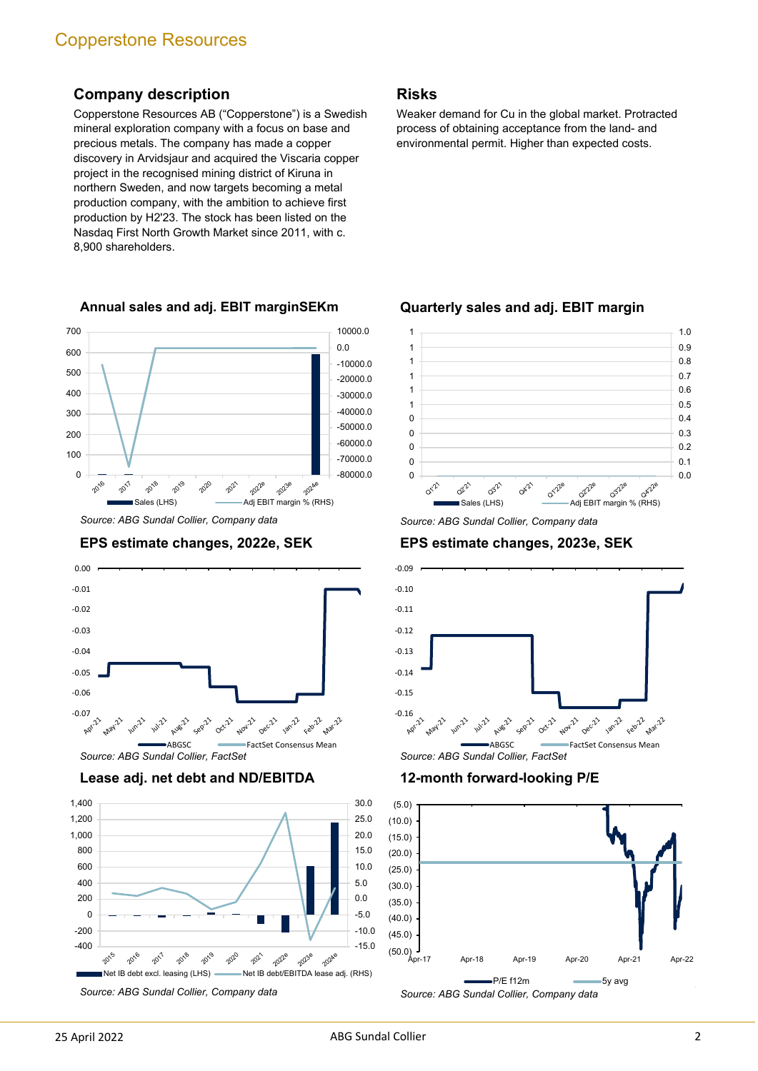# **Company description**

Copperstone Resources AB ("Copperstone") is a Swedish mineral exploration company with a focus on base and precious metals. The company has made a copper discovery in Arvidsjaur and acquired the Viscaria copper project in the recognised mining district of Kiruna in northern Sweden, and now targets becoming a metal production company, with the ambition to achieve first production by H2'23. The stock has been listed on the Nasdaq First North Growth Market since 2011, with c. 8,900 shareholders.

# **Annual sales and adj. EBIT marginSEKm**



*Source: ABG Sundal Collier, Company data*

# **EPS estimate changes, 2022e, SEK**



**Lease adj. net debt and ND/EBITDA**



*Source: ABG Sundal Collier, Company data*

# **Risks**

Weaker demand for Cu in the global market. Protracted process of obtaining acceptance from the land- and environmental permit. Higher than expected costs.

## **Quarterly sales and adj. EBIT margin**



*Source: ABG Sundal Collier, Company data*

# **EPS estimate changes, 2023e, SEK**



#### **12-month forward-looking P/E**

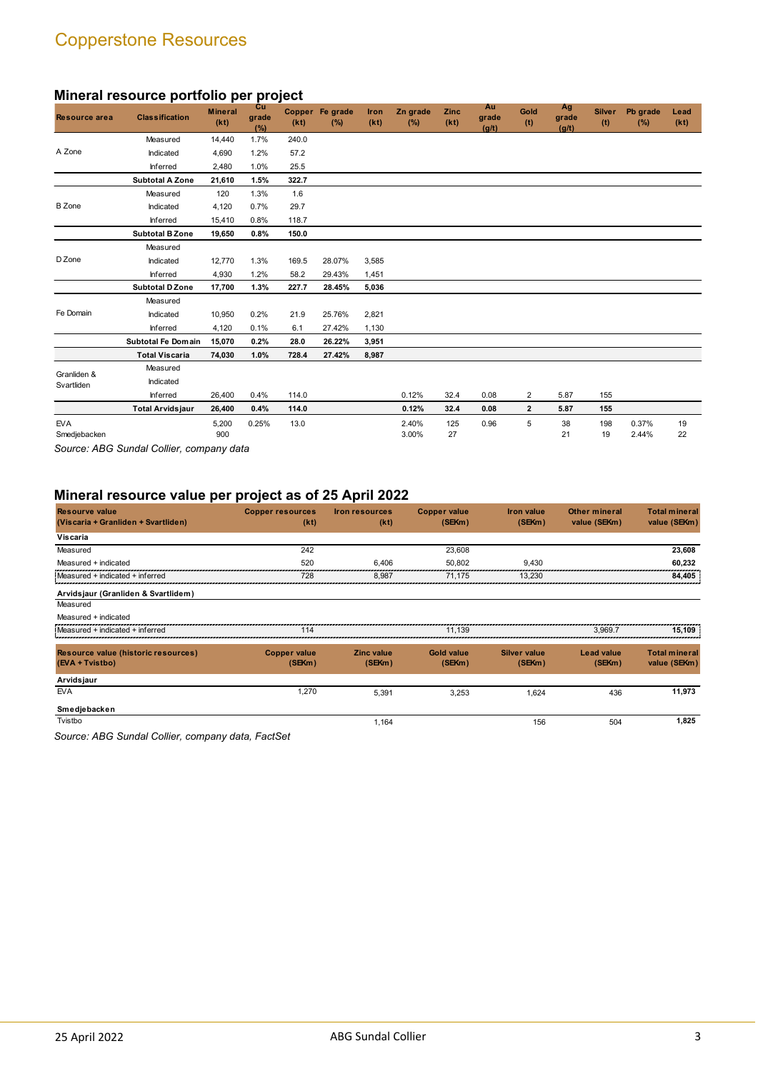# **Mineral resource portfolio per project**

| <b>Resource area</b>       | <b>Classification</b>   | <b>Mineral</b><br>(kt) | <b>Cu</b><br>grade<br>(%) | (kt)  | Copper Fe grade<br>(%) | Iron<br>(kt) | Zn grade<br>(%) | Zinc<br>(kt) | Au<br>grade<br>(g/t) | Gold<br>(t)    | Ag<br>grade<br>(g/t) | <b>Silver</b><br>(t) | Pb grade<br>(%) | Lead<br>(kt) |
|----------------------------|-------------------------|------------------------|---------------------------|-------|------------------------|--------------|-----------------|--------------|----------------------|----------------|----------------------|----------------------|-----------------|--------------|
|                            | Measured                | 14,440                 | 1.7%                      | 240.0 |                        |              |                 |              |                      |                |                      |                      |                 |              |
| A Zone                     | Indicated               | 4,690                  | 1.2%                      | 57.2  |                        |              |                 |              |                      |                |                      |                      |                 |              |
|                            | Inferred                | 2,480                  | 1.0%                      | 25.5  |                        |              |                 |              |                      |                |                      |                      |                 |              |
|                            | <b>Subtotal A Zone</b>  | 21,610                 | 1.5%                      | 322.7 |                        |              |                 |              |                      |                |                      |                      |                 |              |
|                            | Measured                | 120                    | 1.3%                      | 1.6   |                        |              |                 |              |                      |                |                      |                      |                 |              |
| <b>B</b> Zone              | Indicated               | 4,120                  | 0.7%                      | 29.7  |                        |              |                 |              |                      |                |                      |                      |                 |              |
|                            | Inferred                | 15,410                 | 0.8%                      | 118.7 |                        |              |                 |              |                      |                |                      |                      |                 |              |
|                            | <b>Subtotal B Zone</b>  | 19,650                 | 0.8%                      | 150.0 |                        |              |                 |              |                      |                |                      |                      |                 |              |
|                            | Measured                |                        |                           |       |                        |              |                 |              |                      |                |                      |                      |                 |              |
| D Zone                     | Indicated               | 12,770                 | 1.3%                      | 169.5 | 28.07%                 | 3,585        |                 |              |                      |                |                      |                      |                 |              |
|                            | Inferred                | 4,930                  | 1.2%                      | 58.2  | 29.43%                 | 1,451        |                 |              |                      |                |                      |                      |                 |              |
|                            | <b>Subtotal D Zone</b>  | 17.700                 | 1.3%                      | 227.7 | 28.45%                 | 5,036        |                 |              |                      |                |                      |                      |                 |              |
|                            | Measured                |                        |                           |       |                        |              |                 |              |                      |                |                      |                      |                 |              |
| Fe Domain                  | Indicated               | 10,950                 | 0.2%                      | 21.9  | 25.76%                 | 2,821        |                 |              |                      |                |                      |                      |                 |              |
|                            | Inferred                | 4,120                  | 0.1%                      | 6.1   | 27.42%                 | 1,130        |                 |              |                      |                |                      |                      |                 |              |
|                            | Subtotal Fe Domain      | 15,070                 | 0.2%                      | 28.0  | 26.22%                 | 3,951        |                 |              |                      |                |                      |                      |                 |              |
|                            | <b>Total Viscaria</b>   | 74,030                 | 1.0%                      | 728.4 | 27.42%                 | 8,987        |                 |              |                      |                |                      |                      |                 |              |
| Granliden &                | Measured                |                        |                           |       |                        |              |                 |              |                      |                |                      |                      |                 |              |
| Svartliden                 | Indicated               |                        |                           |       |                        |              |                 |              |                      |                |                      |                      |                 |              |
|                            | Inferred                | 26,400                 | 0.4%                      | 114.0 |                        |              | 0.12%           | 32.4         | 0.08                 | $\overline{2}$ | 5.87                 | 155                  |                 |              |
|                            | <b>Total Arvidsjaur</b> | 26,400                 | 0.4%                      | 114.0 |                        |              | 0.12%           | 32.4         | 0.08                 | $\overline{2}$ | 5.87                 | 155                  |                 |              |
| <b>EVA</b><br>Smedjebacken |                         | 5,200<br>900           | 0.25%                     | 13.0  |                        |              | 2.40%<br>3.00%  | 125<br>27    | 0.96                 | 5              | 38<br>21             | 198<br>19            | 0.37%<br>2.44%  | 19<br>22     |
|                            |                         |                        |                           |       |                        |              |                 |              |                      |                |                      |                      |                 |              |

*Source: ABG Sundal Collier, company data*

# **Mineral resource value per project as of 25 April 2022**

| <b>Resourve value</b><br>(Viscaria + Granliden + Svartliden) | <b>Copper resources</b><br>(kt) | <b>Iron resources</b><br>(kt) | <b>Copper value</b><br>(SEKm) | <b>Iron value</b><br>(SEKm) | <b>Other mineral</b><br>value (SEKm) | <b>Total mineral</b><br>value (SEKm) |
|--------------------------------------------------------------|---------------------------------|-------------------------------|-------------------------------|-----------------------------|--------------------------------------|--------------------------------------|
| Viscaria                                                     |                                 |                               |                               |                             |                                      |                                      |
| Measured                                                     | 242                             |                               | 23,608                        |                             |                                      | 23,608                               |
| Measured + indicated                                         | 520                             | 6.406                         | 50.802                        | 9.430                       |                                      | 60,232                               |
| Measured + indicated + inferred                              | 728                             | 8,987                         | 71.175                        | 13.230                      |                                      | 84,405                               |
| Arvidsjaur (Granliden & Svartlidem)                          |                                 |                               |                               |                             |                                      |                                      |
| Measured                                                     |                                 |                               |                               |                             |                                      |                                      |
| Measured + indicated                                         |                                 |                               |                               |                             |                                      |                                      |
| Measured + indicated + inferred                              | 114                             |                               | 11.139                        |                             | 3.969.7                              | 15.109                               |
| Resource value (historic resources)                          | <b>Copper value</b>             | <b>Zinc value</b>             | <b>Gold value</b>             | <b>Silver value</b>         | <b>Lead value</b>                    | <b>Total mineral</b>                 |
| (EVA + Tvistbo)                                              | (SEKm)                          | (SEKm)                        | (SEKm)                        | (SEKm)                      | (SEKm)                               | value (SEKm)                         |
| Arvidsjaur                                                   |                                 |                               |                               |                             |                                      |                                      |
| <b>EVA</b>                                                   | 1,270                           | 5,391                         | 3,253                         | 1.624                       | 436                                  | 11,973                               |
| Smedjebacken                                                 |                                 |                               |                               |                             |                                      |                                      |
| Tvistbo                                                      |                                 | 1,164                         |                               | 156                         | 504                                  | 1,825                                |

*Source: ABG Sundal Collier, company data, FactSet*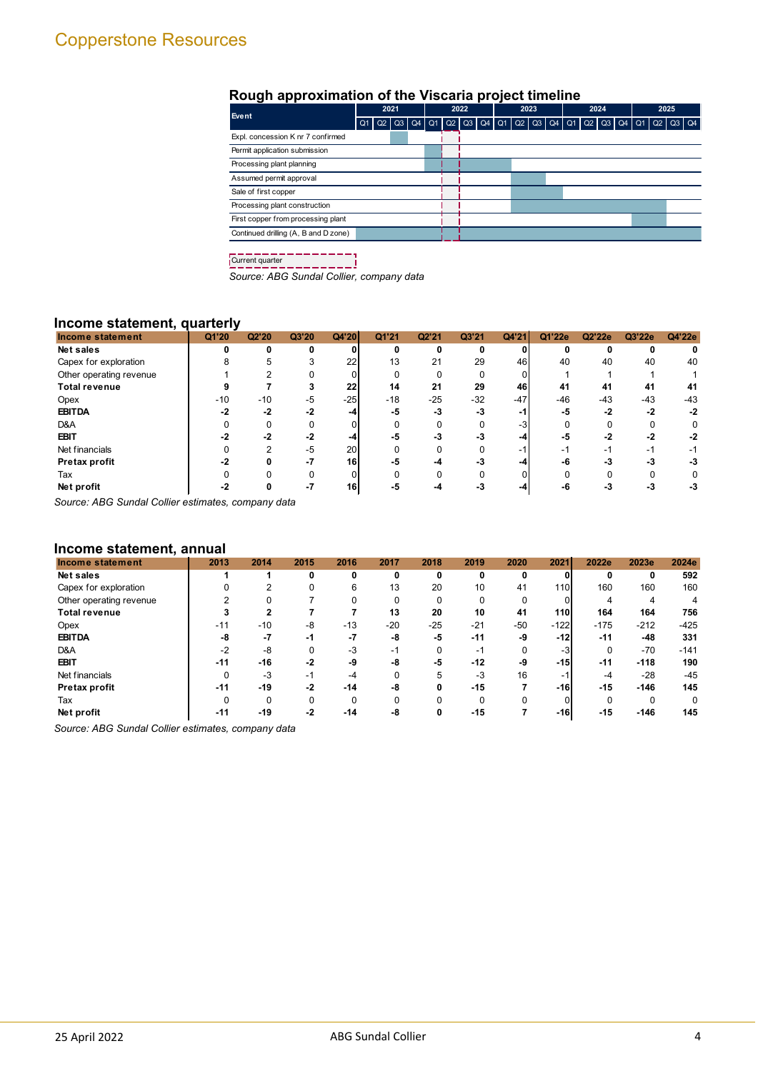# **Rough approximation of the Viscaria project timeline**

| Event                                | 2021           |  |  | 2022 |  |  | 2023 |  |  | 2024                                                                           |  |  | 2025 |  |  |  |                |  |
|--------------------------------------|----------------|--|--|------|--|--|------|--|--|--------------------------------------------------------------------------------|--|--|------|--|--|--|----------------|--|
|                                      | Q <sub>1</sub> |  |  |      |  |  |      |  |  | _Q2   Q3   Q4   Q1   Q2   Q3   Q4   Q1   Q2   Q3   Q4   Q1   Q2   Q3   Q4   Q1 |  |  |      |  |  |  | $Q2$ $Q3$ $Q4$ |  |
| Expl. concession K nr 7 confirmed    |                |  |  |      |  |  |      |  |  |                                                                                |  |  |      |  |  |  |                |  |
| Permit application submission        |                |  |  |      |  |  |      |  |  |                                                                                |  |  |      |  |  |  |                |  |
| Processing plant planning            |                |  |  |      |  |  |      |  |  |                                                                                |  |  |      |  |  |  |                |  |
| Assumed permit approval              |                |  |  |      |  |  |      |  |  |                                                                                |  |  |      |  |  |  |                |  |
| Sale of first copper                 |                |  |  |      |  |  |      |  |  |                                                                                |  |  |      |  |  |  |                |  |
| Processing plant construction        |                |  |  |      |  |  |      |  |  |                                                                                |  |  |      |  |  |  |                |  |
| First copper from processing plant   |                |  |  |      |  |  |      |  |  |                                                                                |  |  |      |  |  |  |                |  |
| Continued drilling (A, B and D zone) |                |  |  |      |  |  |      |  |  |                                                                                |  |  |      |  |  |  |                |  |
|                                      |                |  |  |      |  |  |      |  |  |                                                                                |  |  |      |  |  |  |                |  |

Current quarter

*Source: ABG Sundal Collier, company data*

## **Income statement, quarterly**

| Income statement        | Q1'20 | Q2'20 | Q3'20 | Q4'20           | Q1'21 | Q2'21    | Q3'21 | Q4'21 | Q1'22e | Q2'22e | Q3'22e | Q4'22e |
|-------------------------|-------|-------|-------|-----------------|-------|----------|-------|-------|--------|--------|--------|--------|
| Net sales               | n     |       | 0     | $\Omega$        |       | 0        | 0     |       |        | n      |        |        |
| Capex for exploration   |       |       |       | 22              | 13    | 21       | 29    | 46    | 40     | 40     | 40     | 40     |
| Other operating revenue |       |       |       |                 |       | 0        |       |       |        |        |        |        |
| <b>Total revenue</b>    |       |       |       | 22              | 14    | 21       | 29    | 46    | 41     | 41     | 41     | 41     |
| Opex                    | $-10$ | $-10$ | $-5$  | $-25$           | $-18$ | $-25$    | $-32$ | $-47$ | $-46$  | $-43$  | $-43$  | $-43$  |
| <b>EBITDA</b>           | $-2$  | $-2$  | $-2$  | -4              | -5    | -3       | $-3$  | -1    | -5     | -2     | $-2$   | -2     |
| D&A                     |       |       |       |                 |       |          |       | -3    |        |        |        |        |
| <b>EBIT</b>             |       | $-2$  | $-2$  | -4              | -5    | -3       | -3    | -4    | -5     | $-2$   | $-2$   | $-2$   |
| Net financials          |       |       | $-5$  | 20 <sub>l</sub> |       |          |       | -1    | -1     | - 1    | -1     | -1     |
| Pretax profit           | -2    |       | $-7$  | 16              | -5    | -4       |       | -4    | -6     | -3     | - 5    | -3     |
| Tax                     |       |       |       |                 |       | $\Omega$ |       |       |        |        |        |        |
| Net profit              |       |       |       | 16              |       |          |       |       |        |        |        | -3     |

*Source: ABG Sundal Collier estimates, company data*

#### **Income statement, annual**

| Income statement        | 2013  | 2014     | 2015     | 2016  | 2017  | 2018     | 2019     | 2020  | 2021       | 2022e    | 2023e  | 2024e  |
|-------------------------|-------|----------|----------|-------|-------|----------|----------|-------|------------|----------|--------|--------|
| Net sales               |       |          | 0        | 0     | 0     | 0        | 0        | 0     |            | 0        | 0      | 592    |
| Capex for exploration   |       | ົ        |          | 6     | 13    | 20       | 10       | 41    | 110        | 160      | 160    | 160    |
| Other operating revenue |       |          |          | 0     | 0     | 0        | $\Omega$ | 0     | 01         | 4        | 4      | 4      |
| <b>Total revenue</b>    |       | 2        |          |       | 13    | 20       | 10       | 41    | <b>110</b> | 164      | 164    | 756    |
| Opex                    | $-11$ | $-10$    | -8       | $-13$ | $-20$ | $-25$    | $-21$    | $-50$ | $-122$     | $-175$   | $-212$ | $-425$ |
| <b>EBITDA</b>           | -8    | -7       | $-1$     | $-7$  | -8    | -5       | $-11$    | -9    | $-12$      | $-11$    | $-48$  | 331    |
| D&A                     | $-2$  | -8       | $\Omega$ | -3    | $-1$  | $\Omega$ | - 1      | 0     | $-3$       | $\Omega$ | $-70$  | $-141$ |
| <b>EBIT</b>             | $-11$ | $-16$    | $-2$     | -9    | -8    | -5       | $-12$    | -9    | $-15$      | $-11$    | $-118$ | 190    |
| Net financials          |       | $-3$     | $-1$     | $-4$  |       | 5        | $-3$     | 16    | -1         | -4       | $-28$  | $-45$  |
| Pretax profit           | $-11$ | $-19$    | $-2$     | $-14$ | -8    | 0        | $-15$    |       | -161       | $-15$    | $-146$ | 145    |
| Tax                     |       | $\Omega$ | $\Omega$ | 0     | 0     | 0        | $\Omega$ |       |            | $\Omega$ | 0      | 0      |
| Net profit              | $-11$ | -19      | $-2$     | $-14$ | -8    | 0        | $-15$    |       | $-16$      | $-15$    | $-146$ | 145    |

*Source: ABG Sundal Collier estimates, company data*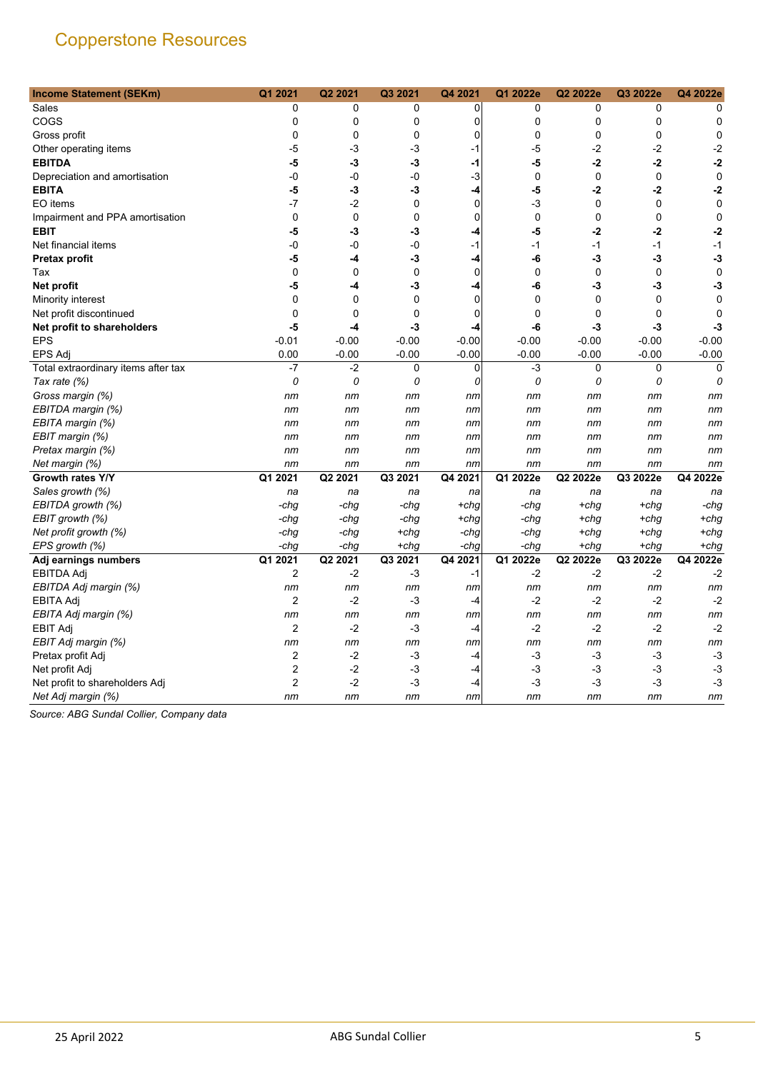| <b>Income Statement (SEKm)</b>      | Q1 2021                 | Q2 2021     | Q3 2021     | Q4 2021     | Q1 2022e    | Q2 2022e    | Q3 2022e     | Q4 2022e    |
|-------------------------------------|-------------------------|-------------|-------------|-------------|-------------|-------------|--------------|-------------|
| Sales                               | 0                       | 0           | 0           | 0           | 0           | 0           | 0            | 0           |
| COGS                                | 0                       | 0           | 0           | 0           | 0           | 0           | 0            | 0           |
| Gross profit                        | 0                       | 0           | 0           | 0           | 0           | 0           | $\mathbf 0$  | 0           |
| Other operating items               | -5                      | -3          | -3          | -1          | -5          | -2          | $-2$         | $-2$        |
| <b>EBITDA</b>                       | -5                      | $-3$        | -3          | $-1$        | -5          | $-2$        | $-2$         | $-2$        |
| Depreciation and amortisation       | -0                      | -0          | -0          | $-3$        | $\mathbf 0$ | $\mathbf 0$ | $\mathbf 0$  | 0           |
| <b>EBITA</b>                        | -5                      | -3          | -3          | -4          | -5          | -2          | -2           | $-2$        |
| EO items                            | $-7$                    | $-2$        | $\mathbf 0$ | $\mathbf 0$ | $-3$        | $\mathbf 0$ | $\mathbf 0$  | 0           |
| Impairment and PPA amortisation     | 0                       | $\mathbf 0$ | 0           | 0           | 0           | 0           | 0            | 0           |
| <b>EBIT</b>                         | -5                      | -3          | -3          | -4          | -5          | $-2$        | $-2$         | -2          |
| Net financial items                 | -0                      | $-0$        | -0          | $-1$        | $-1$        | $-1$        | $-1$         | $-1$        |
| <b>Pretax profit</b>                | -5                      | -4          | -3          | -4          | -6          | $-3$        | -3           | -3          |
| Tax                                 | $\mathbf 0$             | $\mathbf 0$ | $\mathbf 0$ | $\mathbf 0$ | $\mathbf 0$ | $\mathbf 0$ | $\mathbf 0$  | 0           |
| <b>Net profit</b>                   | -5                      | -4          | -3          | -4          | -6          | -3          | -3           | -3          |
| Minority interest                   | 0                       | $\mathbf 0$ | 0           | $\mathbf 0$ | 0           | $\mathbf 0$ | 0            | 0           |
| Net profit discontinued             | $\Omega$                | $\Omega$    | $\mathbf 0$ | 0           | $\Omega$    | $\Omega$    | $\mathbf{0}$ | 0           |
| Net profit to shareholders          | -5                      | $-4$        | $-3$        | -4          | -6          | -3          | -3           | -3          |
| <b>EPS</b>                          | $-0.01$                 | $-0.00$     | $-0.00$     | $-0.00$     | $-0.00$     | $-0.00$     | $-0.00$      | $-0.00$     |
| <b>EPS Adj</b>                      | 0.00                    | $-0.00$     | $-0.00$     | $-0.00$     | $-0.00$     | $-0.00$     | $-0.00$      | $-0.00$     |
| Total extraordinary items after tax | $-7$                    | $-2$        | 0           | 0           | $-3$        | 0           | 0            | $\mathbf 0$ |
| Tax rate (%)                        | 0                       | 0           | 0           | 0           | 0           | 0           | 0            | 0           |
| Gross margin (%)                    | nm                      | nm          | nm          | пm          | nm          | nm          | nm           | nm          |
| EBITDA margin (%)                   | nm                      | nm          | nm          | nm          | пm          | nm          | nm           | nm          |
| EBITA margin (%)                    | nm                      | nm          | nm          | nm          | nm          | nm          | nm           | nm          |
| EBIT margin (%)                     | nm                      | nm          | nm          | nm          | nm          | nm          | nm           | nm          |
| Pretax margin (%)                   | nm                      | nm          | nm          | nm          | nm          | nm          | nm           | nm          |
| Net margin (%)                      | nm                      | nm          | nm          | nm          | nm          | nm          | nm           | nm          |
| Growth rates Y/Y                    | Q1 2021                 | Q2 2021     | Q3 2021     | Q4 2021     | Q1 2022e    | Q2 2022e    | Q3 2022e     | Q4 2022e    |
| Sales growth (%)                    | na                      | na          | na          | na          | na          | na          | na           | na          |
| EBITDA growth (%)                   | -chg                    | -chg        | -chg        | +chg        | -chg        | $+chq$      | $+chg$       | -chg        |
| EBIT growth (%)                     | -chg                    | -chg        | -chg        | $+chg$      | -chg        | +chg        | +chq         | $+chq$      |
| Net profit growth (%)               | -chg                    | -chg        | $+chg$      | -chg        | -chg        | $+chq$      | $+chg$       | $+chg$      |
| EPS growth (%)                      | -chg                    | -chg        | +chg        | -chg        | -chg        | +chg        | $+chg$       | $+chg$      |
| Adj earnings numbers                | Q1 2021                 | Q2 2021     | Q3 2021     | Q4 2021     | Q1 2022e    | Q2 2022e    | Q3 2022e     | Q4 2022e    |
| <b>EBITDA Adj</b>                   | $\boldsymbol{2}$        | $-2$        | -3          | $-1$        | $-2$        | $-2$        | $-2$         | $-2$        |
| EBITDA Adj margin (%)               | nm                      | nm          | nm          | nm          | nm          | nm          | nm           | nm          |
| <b>EBITA Adj</b>                    | $\overline{2}$          | $-2$        | -3          | -4          | $-2$        | $-2$        | $-2$         | $-2$        |
| EBITA Adj margin (%)                | nm                      | nm          | nm          | nm          | nm          | nm          | nm           | nm          |
| <b>EBIT Adj</b>                     | $\overline{2}$          | -2          | $-3$        | -4          | -2          | $-2$        | $-2$         | $-2$        |
| EBIT Adj margin (%)                 | nm                      | nm          | nm          | nm          | nm          | nm          | nm           | nm          |
| Pretax profit Adj                   | $\overline{c}$          | $-2$        | -3          | -4          | -3          | $-3$        | -3           | $-3$        |
| Net profit Adj                      | $\overline{\mathbf{c}}$ | $-2$        | $-3$        | -4          | $-3$        | -3          | $-3$         | $-3$        |
| Net profit to shareholders Adj      | $\overline{2}$          | $-2$        | -3          | $-4$        | $-3$        | $-3$        | $-3$         | $-3$        |
| Net Adj margin (%)                  | nm                      | nm          | nm          | пm          | nm          | nm          | nm           | nm          |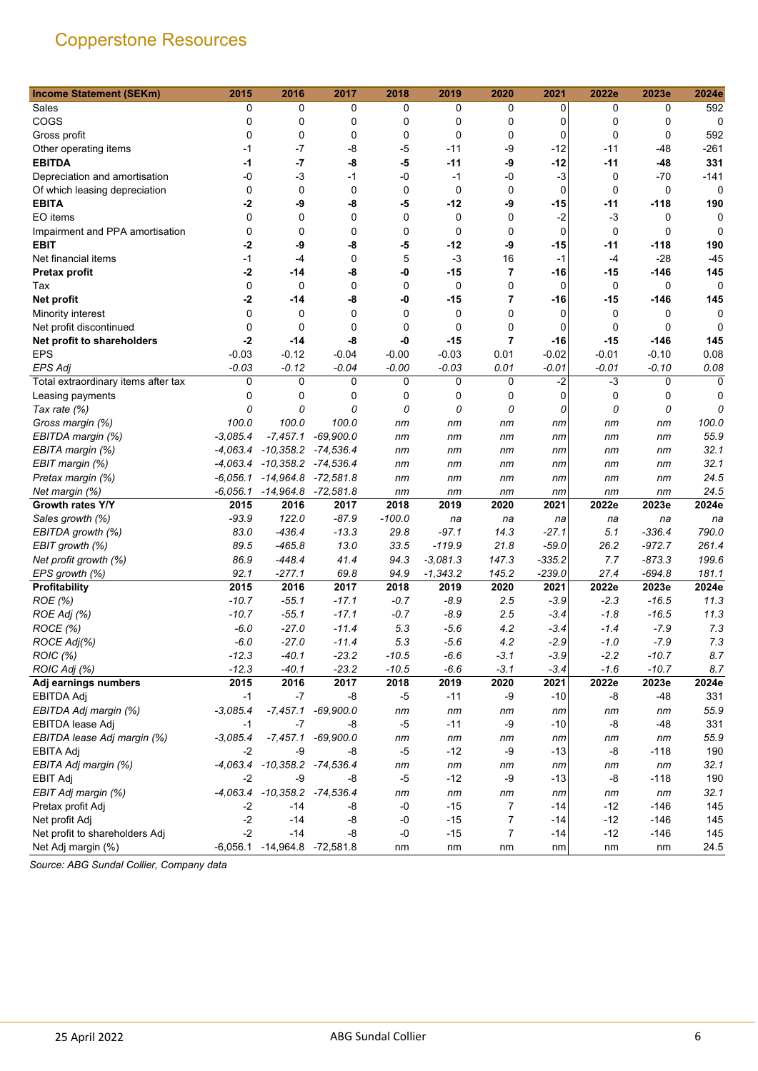| <b>Income Statement (SEKm)</b>      | 2015       | 2016                               | 2017        | 2018     | 2019        | 2020           | 2021        | 2022e    | 2023e       | 2024e       |
|-------------------------------------|------------|------------------------------------|-------------|----------|-------------|----------------|-------------|----------|-------------|-------------|
| Sales                               | 0          | 0                                  | 0           | 0        | 0           | 0              | 0           | 0        | 0           | 592         |
| COGS                                | 0          | 0                                  | 0           | 0        | 0           | 0              | 0           | 0        | 0           | 0           |
| Gross profit                        | 0          | 0                                  | 0           | 0        | $\mathbf 0$ | 0              | 0           | 0        | 0           | 592         |
| Other operating items               | -1         | $-7$                               | -8          | -5       | $-11$       | -9             | $-12$       | $-11$    | -48         | $-261$      |
| <b>EBITDA</b>                       | -1         | $-7$                               | -8          | -5       | $-11$       | -9             | $-12$       | -11      | -48         | 331         |
| Depreciation and amortisation       | -0         | $-3$                               | $-1$        | -0       | $-1$        | $-0$           | $-3$        | 0        | $-70$       | $-141$      |
| Of which leasing depreciation       | 0          | 0                                  | 0           | 0        | $\mathbf 0$ | 0              | $\mathbf 0$ | 0        | 0           | $\mathbf 0$ |
| <b>EBITA</b>                        | $-2$       | -9                                 | -8          | -5       | $-12$       | -9             | -15         | -11      | $-118$      | 190         |
| EO items                            | $\Omega$   | $\mathbf 0$                        | 0           | 0        | $\mathbf 0$ | 0              | $-2$        | -3       | 0           | 0           |
| Impairment and PPA amortisation     | 0          | $\mathbf 0$                        | $\Omega$    | 0        | $\mathbf 0$ | 0              | $\Omega$    | $\Omega$ | $\mathbf 0$ | 0           |
| <b>EBIT</b>                         | -2         | -9                                 | -8          | -5       | $-12$       | -9             | -15         | -11      | $-118$      | 190         |
| Net financial items                 | $-1$       | $-4$                               | 0           | 5        | $-3$        | 16             | $-1$        | $-4$     | $-28$       | $-45$       |
| Pretax profit                       | $-2$       | -14                                | -8          | -0       | $-15$       | 7              | -16         | -15      | $-146$      | 145         |
| Tax                                 | 0          | $\mathbf 0$                        | 0           | 0        | $\mathbf 0$ | 0              | 0           | 0        | 0           | 0           |
| <b>Net profit</b>                   | $-2$       | -14                                | -8          | -0       | -15         | $\overline{7}$ | -16         | -15      | $-146$      | 145         |
| Minority interest                   | 0          | 0                                  | 0           | 0        | 0           | 0              | $\mathbf 0$ | 0        | 0           | 0           |
| Net profit discontinued             | 0          | $\mathbf 0$                        | 0           | 0        | $\mathbf 0$ | 0              | 0           | 0        | 0           | 0           |
| Net profit to shareholders          | $-2$       | -14                                | -8          | -0       | $-15$       | $\overline{7}$ | -16         | $-15$    | $-146$      | 145         |
| <b>EPS</b>                          | $-0.03$    | $-0.12$                            | $-0.04$     | $-0.00$  | $-0.03$     | 0.01           | $-0.02$     | $-0.01$  | $-0.10$     | 0.08        |
| <b>EPS Adj</b>                      | $-0.03$    | $-0.12$                            | $-0.04$     | $-0.00$  | $-0.03$     | 0.01           | $-0.01$     | $-0.01$  | -0.10       | 0.08        |
| Total extraordinary items after tax | 0          | 0                                  | $\mathbf 0$ | 0        | $\mathbf 0$ | 0              | $-2$        | $-3$     | $\mathbf 0$ | $\Omega$    |
| Leasing payments                    | 0          | 0                                  | 0           | 0        | 0           | 0              | $\mathbf 0$ | 0        | 0           | 0           |
| Tax rate (%)                        | 0          | 0                                  | 0           | 0        | 0           | 0              | 0           | 0        | 0           | 0           |
| Gross margin (%)                    | 100.0      | 100.0                              | 100.0       | nm       | nm          | nm             | nm          | nm       | nm          | 100.0       |
| EBITDA margin (%)                   | $-3,085.4$ | $-7,457.1$                         | $-69,900.0$ | nm       | nm          | nm             | nm          | nm       | nm          | 55.9        |
| EBITA margin (%)                    |            | -4,063.4 -10,358.2 -74,536.4       |             | nm       | nm          | nm             | пm          | nm       | nm          | 32.1        |
| EBIT margin (%)                     |            | -4,063.4 -10,358.2 -74,536.4       |             | nm       | пm          | nm             | пm          | nm       | nm          | 32.1        |
| Pretax margin (%)                   | $-6,056.1$ | $-14,964.8$ $-72,581.8$            |             | nm       | nm          | nm             | nm          | nm       | nm          | 24.5        |
| Net margin (%)                      |            | $-6,056.1$ $-14,964.8$ $-72,581.8$ |             | nm       | nm          | nm             | nm          | nm       | nm          | 24.5        |
| Growth rates Y/Y                    | 2015       | 2016                               | 2017        | 2018     | 2019        | 2020           | 2021        | 2022e    | 2023e       | 2024e       |
| Sales growth (%)                    | $-93.9$    | 122.0                              | $-87.9$     | $-100.0$ | na          | na             | na          | na       | na          | na          |
| EBITDA growth (%)                   | 83.0       | $-436.4$                           | $-13.3$     | 29.8     | $-97.1$     | 14.3           | $-27.1$     | 5.1      | -336.4      | 790.0       |
| EBIT growth (%)                     | 89.5       | $-465.8$                           | 13.0        | 33.5     | $-119.9$    | 21.8           | $-59.0$     | 26.2     | $-972.7$    | 261.4       |
| Net profit growth (%)               | 86.9       | $-448.4$                           | 41.4        | 94.3     | $-3.081.3$  | 147.3          | $-335.2$    | 7.7      | $-873.3$    | 199.6       |
| EPS growth (%)                      | 92.1       | $-277.1$                           | 69.8        | 94.9     | $-1,343.2$  | 145.2          | $-239.0$    | 27.4     | $-694.8$    | 181.1       |
| Profitability                       | 2015       | 2016                               | 2017        | 2018     | 2019        | 2020           | 2021        | 2022e    | 2023e       | 2024e       |
| ROE (%)                             | $-10.7$    | $-55.1$                            | $-17.1$     | $-0.7$   | $-8.9$      | 2.5            | $-3.9$      | $-2.3$   | $-16.5$     | 11.3        |
| ROE Adj (%)                         | $-10.7$    | $-55.1$                            | $-17.1$     | $-0.7$   | $-8.9$      | 2.5            | $-3.4$      | $-1.8$   | $-16.5$     | 11.3        |
| ROCE (%)                            | $-6.0$     | $-27.0$                            | $-11.4$     | 5.3      | $-5.6$      | 4.2            | $-3.4$      | $-1.4$   | $-7.9$      | 7.3         |
| ROCE Adj(%)                         | $-6.0$     | $-27.0$                            | $-11.4$     | 5.3      | $-5.6$      | 4.2            | $-2.9$      | $-1.0$   | $-7.9$      | 7.3         |
| ROIC (%)                            | $-12.3$    | $-40.1$                            | $-23.2$     | $-10.5$  | $-6.6$      | $-3.1$         | $-3.9$      | $-2.2$   | $-10.7$     | 8.7         |
| ROIC Adj (%)                        | $-12.3$    | $-40.1$                            | $-23.2$     | $-10.5$  | $-6.6$      | $-3.1$         | $-3.4$      | $-1.6$   | $-10.7$     | 8.7         |
| Adj earnings numbers                | 2015       | 2016                               | 2017        | 2018     | 2019        | 2020           | 2021        | 2022e    | 2023e       | 2024e       |
| <b>EBITDA Adj</b>                   | -1         | -7                                 | -8          | -5       | $-11$       | -9             | $-10$       | -8       | $-48$       | 331         |
| EBITDA Adj margin (%)               | $-3,085.4$ | $-7,457.1$                         | $-69,900.0$ | nm       | nm          | nm             | nm          | nm       | nm          | 55.9        |
| EBITDA lease Adj                    | $-1$       | $-7$                               | -8          | $-5$     | $-11$       | -9             | $-10$       | -8       | $-48$       | 331         |
| EBITDA lease Adj margin (%)         | $-3,085.4$ | $-7,457.1$                         | $-69,900.0$ | пm       | nm          | nm             | nm          | nm       | nm          | 55.9        |
| <b>EBITA Adj</b>                    | -2         | -9                                 | -8          | $-5$     | $-12$       | -9             | $-13$       | -8       | $-118$      | 190         |
| EBITA Adj margin (%)                | $-4,063.4$ | $-10,358.2$ $-74,536.4$            |             | пm       | nm          | nm             | nm          | nm       | nm          | 32.1        |
| <b>EBIT Adj</b>                     | $-2$       | -9                                 | -8          | $-5$     | $-12$       | -9             | $-13$       | -8       | $-118$      | 190         |
| EBIT Adj margin (%)                 |            | -4,063.4 -10,358.2 -74,536.4       |             | nm       | nm          | nm             | nm          | nm       | nm          | 32.1        |
| Pretax profit Adj                   | $-2$       | -14                                | -8          | -0       | $-15$       | 7              | $-14$       | $-12$    | $-146$      | 145         |
| Net profit Adj                      | $-2$       | -14                                | -8          | -0       | $-15$       | 7              | $-14$       | -12      | -146        | 145         |
| Net profit to shareholders Adj      | -2         | -14                                | -8          | -0       | $-15$       | 7              | $-14$       | $-12$    | $-146$      | 145         |
| Net Adj margin (%)                  |            | -6,056.1 -14,964.8 -72,581.8       |             | nm       | nm          | nm             | nm          | nm       | nm          | 24.5        |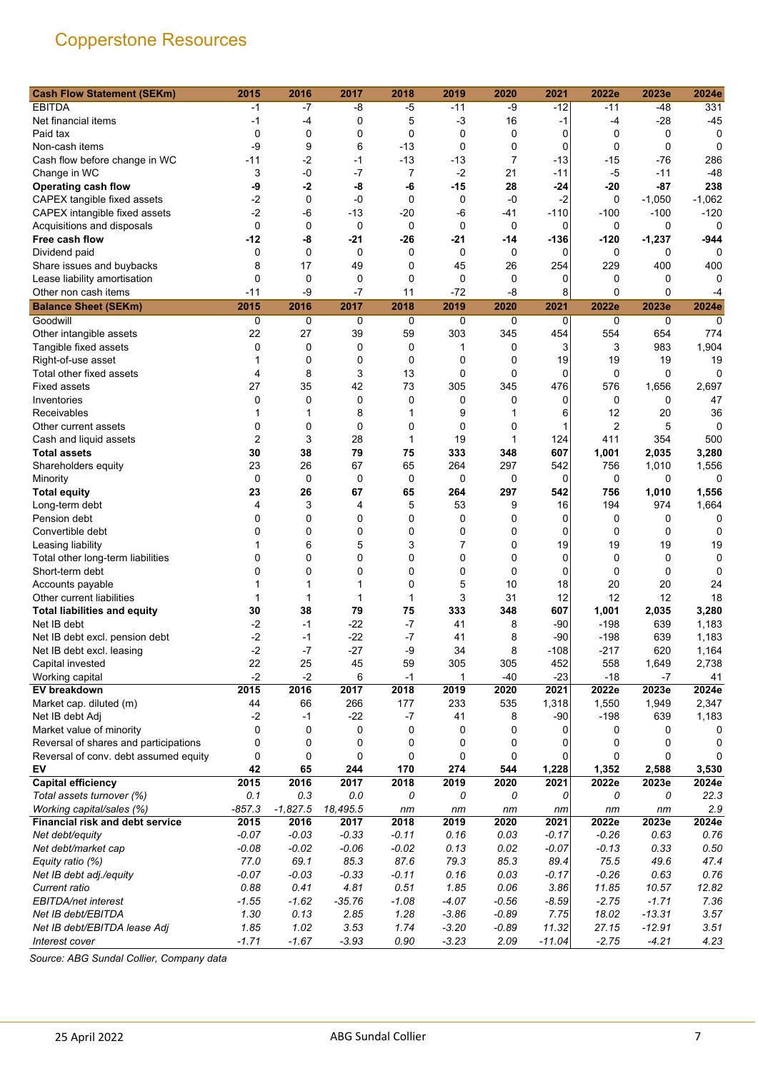| <b>Cash Flow Statement (SEKm)</b>     | 2015        | 2016        | 2017        | 2018        | 2019        | 2020           | 2021        | 2022e   | 2023e       | 2024e    |
|---------------------------------------|-------------|-------------|-------------|-------------|-------------|----------------|-------------|---------|-------------|----------|
| <b>EBITDA</b>                         | -1          | $-7$        | -8          | $-5$        | $-11$       | -9             | $-12$       | -11     | $-48$       | 331      |
| Net financial items                   | -1          | -4          | 0           | 5           | $-3$        | 16             | $-1$        | $-4$    | $-28$       | $-45$    |
| Paid tax                              | 0           | 0           | 0           | 0           | 0           | 0              | 0           | 0       | 0           | 0        |
| Non-cash items                        | -9          | 9           | 6           | $-13$       | 0           | $\mathbf 0$    | 0           | 0       | 0           | 0        |
| Cash flow before change in WC         | $-11$       | $-2$        | $-1$        | $-13$       | $-13$       | $\overline{7}$ | $-13$       | $-15$   | -76         | 286      |
| Change in WC                          | 3           | $-0$        | $-7$        | 7           | $-2$        | 21             | $-11$       | $-5$    | $-11$       | $-48$    |
| <b>Operating cash flow</b>            | -9          | $-2$        | -8          | -6          | $-15$       | 28             | $-24$       | -20     | $-87$       | 238      |
| CAPEX tangible fixed assets           | -2          | $\mathbf 0$ | -0          | 0           | 0           | -0             | $-2$        | 0       | $-1,050$    | $-1,062$ |
| CAPEX intangible fixed assets         | $-2$        | $-6$        | $-13$       | $-20$       | $-6$        | -41            | $-110$      | $-100$  | $-100$      | $-120$   |
| Acquisitions and disposals            | 0           | 0           | 0           | 0           | 0           | $\mathbf 0$    | 0           | 0       | 0           | 0        |
| Free cash flow                        | $-12$       | -8          | -21         | $-26$       | -21         | -14            | -136        | -120    | $-1,237$    | $-944$   |
| Dividend paid                         | 0           | $\mathbf 0$ | $\mathbf 0$ | 0           | 0           | 0              | 0           | 0       | 0           | 0        |
| Share issues and buybacks             | 8           | 17          | 49          | 0           | 45          | 26             | 254         | 229     | 400         | 400      |
| Lease liability amortisation          | 0           | $\mathbf 0$ | 0           | 0           | 0           | 0              | 0           | 0       | 0           | 0        |
| Other non cash items                  | $-11$       | -9          | $-7$        | 11          | $-72$       | $-8$           | 8           | 0       | $\Omega$    | $-4$     |
| <b>Balance Sheet (SEKm)</b>           | 2015        | 2016        | 2017        | 2018        | 2019        | 2020           | 2021        | 2022e   | 2023e       | 2024e    |
|                                       |             | 0           | 0           |             |             |                |             | 0       | 0           | 0        |
| Goodwill                              | 0           |             |             | 0           | 0           | 0              | 0           |         |             |          |
| Other intangible assets               | 22          | 27          | 39          | 59          | 303         | 345            | 454         | 554     | 654         | 774      |
| Tangible fixed assets                 | 0           | 0           | 0           | 0           | 1           | 0              | 3           | 3       | 983         | 1,904    |
| Right-of-use asset                    | 1           | $\mathbf 0$ | $\mathbf 0$ | $\mathbf 0$ | 0           | 0              | 19          | 19      | 19          | 19       |
| Total other fixed assets              | 4           | 8           | 3           | 13          | $\mathbf 0$ | $\mathbf 0$    | 0           | 0       | $\mathbf 0$ | $\Omega$ |
| <b>Fixed assets</b>                   | 27          | 35          | 42          | 73          | 305         | 345            | 476         | 576     | 1,656       | 2,697    |
| Inventories                           | $\mathbf 0$ | $\mathbf 0$ | 0           | 0           | 0           | 0              | 0           | 0       | 0           | 47       |
| Receivables                           |             | 1           | 8           | 1           | 9           | 1              | 6           | 12      | 20          | 36       |
| Other current assets                  | 0           | $\mathbf 0$ | 0           | 0           | 0           | $\mathbf 0$    | 1           | 2       | 5           | 0        |
| Cash and liquid assets                | 2           | 3           | 28          | 1           | 19          | 1              | 124         | 411     | 354         | 500      |
| <b>Total assets</b>                   | 30          | 38          | 79          | 75          | 333         | 348            | 607         | 1,001   | 2,035       | 3,280    |
| Shareholders equity                   | 23          | 26          | 67          | 65          | 264         | 297            | 542         | 756     | 1,010       | 1,556    |
| Minority                              | $\mathbf 0$ | $\mathbf 0$ | $\mathbf 0$ | $\mathbf 0$ | 0           | 0              | 0           | 0       | 0           | 0        |
| <b>Total equity</b>                   | 23          | 26          | 67          | 65          | 264         | 297            | 542         | 756     | 1,010       | 1,556    |
| Long-term debt                        | 4           | 3           | 4           | 5           | 53          | 9              | 16          | 194     | 974         | 1,664    |
| Pension debt                          | 0           | 0           | 0           | 0           | 0           | 0              | 0           | 0       | 0           | 0        |
| Convertible debt                      | $\Omega$    | $\mathbf 0$ | 0           | 0           | 0           | 0              | 0           | 0       | 0           | 0        |
| Leasing liability                     |             | 6           | 5           | 3           | 7           | 0              | 19          | 19      | 19          | 19       |
| Total other long-term liabilities     | 0           | $\mathbf 0$ | 0           | 0           | $\mathbf 0$ | $\mathbf 0$    | $\mathbf 0$ | 0       | 0           | 0        |
| Short-term debt                       | 0           | $\mathbf 0$ | 0           | 0           | 0           | $\mathbf 0$    | 0           | 0       | 0           | 0        |
| Accounts payable                      | 1           | 1           | 1           | 0           | 5           | 10             | 18          | 20      | 20          | 24       |
| Other current liabilities             |             | 1           | 1           | 1           | 3           | 31             | 12          | 12      | 12          | 18       |
| <b>Total liabilities and equity</b>   | 30          | 38          | 79          | 75          | 333         | 348            | 607         | 1,001   | 2,035       | 3,280    |
| Net IB debt                           | $-2$        | -1          | $-22$       | $-7$        | 41          | 8              | -90         | $-198$  | 639         | 1,183    |
| Net IB debt excl. pension debt        | $-2$        | -1          | $-22$       | $-7$        | 41          | 8              | $-90$       | $-198$  | 639         | 1,183    |
| Net IB debt excl. leasing             | $-2$        | -7          | $-27$       | -9          | 34          | 8              | $-108$      | $-217$  | 620         | 1,164    |
| Capital invested                      | 22          | 25          | 45          | 59          | 305         | 305            | 452         | 558     | 1,649       | 2,738    |
| Working capital                       | $-2$        | $-2$        | 6           | $-1$        | 1           | $-40$          | $-23$       | $-18$   | $-7$        | 41       |
| EV breakdown                          | 2015        | 2016        | 2017        | 2018        | 2019        | 2020           | 2021        | 2022e   | 2023e       | 2024e    |
| Market cap. diluted (m)               | 44          | 66          | 266         | 177         | 233         | 535            | 1,318       | 1,550   | 1,949       | 2,347    |
| Net IB debt Adj                       | $-2$        | -1          | $-22$       | $-7$        | 41          | 8              | $-90$       | $-198$  | 639         | 1,183    |
| Market value of minority              | 0           | 0           | $\pmb{0}$   | 0           | 0           | 0              | 0           | 0       | 0           | 0        |
| Reversal of shares and participations | $\mathbf 0$ | 0           | 0           | 0           | 0           | 0              | 0           | 0       | 0           | 0        |
| Reversal of conv. debt assumed equity | 0           | 0           | 0           | 0           | 0           | 0              | 0           | 0       | 0           | 0        |
| EV                                    | 42          | 65          | 244         | 170         | 274         | 544            | 1,228       | 1,352   | 2,588       | 3,530    |
| <b>Capital efficiency</b>             | 2015        | 2016        | 2017        | 2018        | 2019        | 2020           | 2021        | 2022e   | 2023e       | 2024e    |
| Total assets turnover (%)             | 0.1         | 0.3         | 0.0         | 0           | 0           | 0              | 0           | 0       | 0           | 22.3     |
| Working capital/sales (%)             | $-857.3$    | $-1,827.5$  | 18,495.5    | пm          | nm          | nm             | nm          | nm      | nm          | 2.9      |
| Financial risk and debt service       | 2015        | 2016        | 2017        | 2018        | 2019        | 2020           | 2021        | 2022e   | 2023e       | 2024e    |
| Net debt/equity                       | $-0.07$     | $-0.03$     | $-0.33$     | $-0.11$     | 0.16        | 0.03           | $-0.17$     | $-0.26$ | 0.63        | 0.76     |
| Net debt/market cap                   | $-0.08$     | $-0.02$     | $-0.06$     | $-0.02$     | 0.13        | 0.02           | $-0.07$     | $-0.13$ | 0.33        | 0.50     |
| Equity ratio (%)                      | 77.0        | 69.1        | 85.3        | 87.6        | 79.3        | 85.3           | 89.4        | 75.5    | 49.6        | 47.4     |
| Net IB debt adj./equity               | $-0.07$     | $-0.03$     | $-0.33$     | $-0.11$     | 0.16        | 0.03           | $-0.17$     | $-0.26$ | 0.63        | 0.76     |
| Current ratio                         | 0.88        | 0.41        | 4.81        | 0.51        | 1.85        | 0.06           | 3.86        | 11.85   | 10.57       | 12.82    |
| EBITDA/net interest                   | $-1.55$     | $-1.62$     | $-35.76$    | $-1.08$     | $-4.07$     | $-0.56$        | $-8.59$     | $-2.75$ | $-1.71$     | 7.36     |
| Net IB debt/EBITDA                    | 1.30        | 0.13        | 2.85        | 1.28        | $-3.86$     | $-0.89$        | 7.75        | 18.02   | $-13.31$    | 3.57     |
| Net IB debt/EBITDA lease Adj          | 1.85        | 1.02        | 3.53        | 1.74        | $-3.20$     | $-0.89$        | 11.32       | 27.15   | $-12.91$    | 3.51     |
| Interest cover                        | $-1.71$     | $-1.67$     | $-3.93$     | 0.90        | $-3.23$     | 2.09           | $-11.04$    | $-2.75$ | $-4.21$     | 4.23     |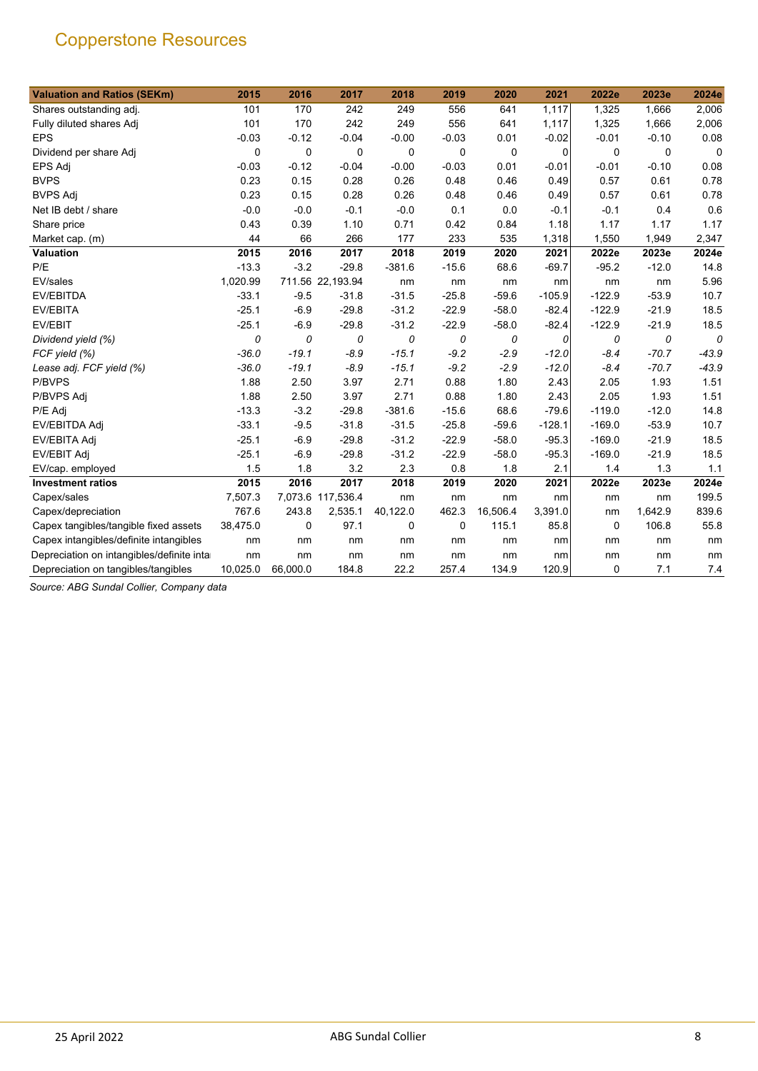| <b>Valuation and Ratios (SEKm)</b>         | 2015     | 2016        | 2017              | 2018     | 2019    | 2020     | 2021     | 2022e    | 2023e   | 2024e   |
|--------------------------------------------|----------|-------------|-------------------|----------|---------|----------|----------|----------|---------|---------|
| Shares outstanding adj.                    | 101      | 170         | 242               | 249      | 556     | 641      | 1,117    | 1,325    | 1,666   | 2,006   |
| Fully diluted shares Adj                   | 101      | 170         | 242               | 249      | 556     | 641      | 1,117    | 1,325    | 1,666   | 2,006   |
| <b>EPS</b>                                 | $-0.03$  | $-0.12$     | $-0.04$           | $-0.00$  | $-0.03$ | 0.01     | $-0.02$  | $-0.01$  | $-0.10$ | 0.08    |
| Dividend per share Adj                     | 0        | 0           | 0                 | 0        | 0       | 0        | 0        | 0        | 0       | 0       |
| <b>EPS Adj</b>                             | $-0.03$  | $-0.12$     | $-0.04$           | $-0.00$  | $-0.03$ | 0.01     | $-0.01$  | $-0.01$  | $-0.10$ | 0.08    |
| <b>BVPS</b>                                | 0.23     | 0.15        | 0.28              | 0.26     | 0.48    | 0.46     | 0.49     | 0.57     | 0.61    | 0.78    |
| <b>BVPS Adj</b>                            | 0.23     | 0.15        | 0.28              | 0.26     | 0.48    | 0.46     | 0.49     | 0.57     | 0.61    | 0.78    |
| Net IB debt / share                        | $-0.0$   | $-0.0$      | $-0.1$            | $-0.0$   | 0.1     | 0.0      | $-0.1$   | $-0.1$   | 0.4     | 0.6     |
| Share price                                | 0.43     | 0.39        | 1.10              | 0.71     | 0.42    | 0.84     | 1.18     | 1.17     | 1.17    | 1.17    |
| Market cap. (m)                            | 44       | 66          | 266               | 177      | 233     | 535      | 1,318    | 1,550    | 1,949   | 2,347   |
| Valuation                                  | 2015     | 2016        | 2017              | 2018     | 2019    | 2020     | 2021     | 2022e    | 2023e   | 2024e   |
| P/E                                        | $-13.3$  | $-3.2$      | $-29.8$           | $-381.6$ | $-15.6$ | 68.6     | $-69.7$  | $-95.2$  | $-12.0$ | 14.8    |
| EV/sales                                   | 1,020.99 |             | 711.56 22,193.94  | nm       | nm      | nm       | nm       | nm       | nm      | 5.96    |
| EV/EBITDA                                  | $-33.1$  | $-9.5$      | $-31.8$           | $-31.5$  | $-25.8$ | $-59.6$  | $-105.9$ | $-122.9$ | $-53.9$ | 10.7    |
| <b>EV/EBITA</b>                            | $-25.1$  | $-6.9$      | $-29.8$           | $-31.2$  | $-22.9$ | $-58.0$  | $-82.4$  | $-122.9$ | $-21.9$ | 18.5    |
| EV/EBIT                                    | $-25.1$  | $-6.9$      | $-29.8$           | $-31.2$  | $-22.9$ | $-58.0$  | $-82.4$  | $-122.9$ | $-21.9$ | 18.5    |
| Dividend yield (%)                         | 0        | 0           | 0                 | 0        | 0       | 0        | 0        | 0        | 0       | 0       |
| FCF yield (%)                              | $-36.0$  | $-19.1$     | $-8.9$            | $-15.1$  | $-9.2$  | $-2.9$   | $-12.0$  | $-8.4$   | $-70.7$ | $-43.9$ |
| Lease adj. FCF yield (%)                   | $-36.0$  | $-19.1$     | $-8.9$            | $-15.1$  | $-9.2$  | $-2.9$   | $-12.0$  | $-8.4$   | $-70.7$ | $-43.9$ |
| P/BVPS                                     | 1.88     | 2.50        | 3.97              | 2.71     | 0.88    | 1.80     | 2.43     | 2.05     | 1.93    | 1.51    |
| P/BVPS Adj                                 | 1.88     | 2.50        | 3.97              | 2.71     | 0.88    | 1.80     | 2.43     | 2.05     | 1.93    | 1.51    |
| P/E Adj                                    | $-13.3$  | $-3.2$      | $-29.8$           | $-381.6$ | $-15.6$ | 68.6     | $-79.6$  | $-119.0$ | $-12.0$ | 14.8    |
| EV/EBITDA Adj                              | $-33.1$  | $-9.5$      | $-31.8$           | $-31.5$  | $-25.8$ | $-59.6$  | $-128.1$ | $-169.0$ | $-53.9$ | 10.7    |
| EV/EBITA Adj                               | $-25.1$  | $-6.9$      | $-29.8$           | $-31.2$  | $-22.9$ | $-58.0$  | $-95.3$  | $-169.0$ | $-21.9$ | 18.5    |
| EV/EBIT Adj                                | $-25.1$  | $-6.9$      | $-29.8$           | $-31.2$  | $-22.9$ | $-58.0$  | $-95.3$  | $-169.0$ | $-21.9$ | 18.5    |
| EV/cap. employed                           | 1.5      | 1.8         | 3.2               | 2.3      | 0.8     | 1.8      | 2.1      | 1.4      | 1.3     | 1.1     |
| <b>Investment ratios</b>                   | 2015     | 2016        | 2017              | 2018     | 2019    | 2020     | 2021     | 2022e    | 2023e   | 2024e   |
| Capex/sales                                | 7,507.3  |             | 7,073.6 117,536.4 | nm       | nm      | nm       | nm       | nm       | nm      | 199.5   |
| Capex/depreciation                         | 767.6    | 243.8       | 2,535.1           | 40,122.0 | 462.3   | 16,506.4 | 3,391.0  | nm       | 1,642.9 | 839.6   |
| Capex tangibles/tangible fixed assets      | 38,475.0 | $\mathbf 0$ | 97.1              | 0        | 0       | 115.1    | 85.8     | 0        | 106.8   | 55.8    |
| Capex intangibles/definite intangibles     | nm       | nm          | nm                | nm       | nm      | nm       | nm       | nm       | nm      | nm      |
| Depreciation on intangibles/definite intar | nm       | nm          | nm                | nm       | nm      | nm       | nm       | nm       | nm      | nm      |
| Depreciation on tangibles/tangibles        | 10,025.0 | 66,000.0    | 184.8             | 22.2     | 257.4   | 134.9    | 120.9    | 0        | 7.1     | 7.4     |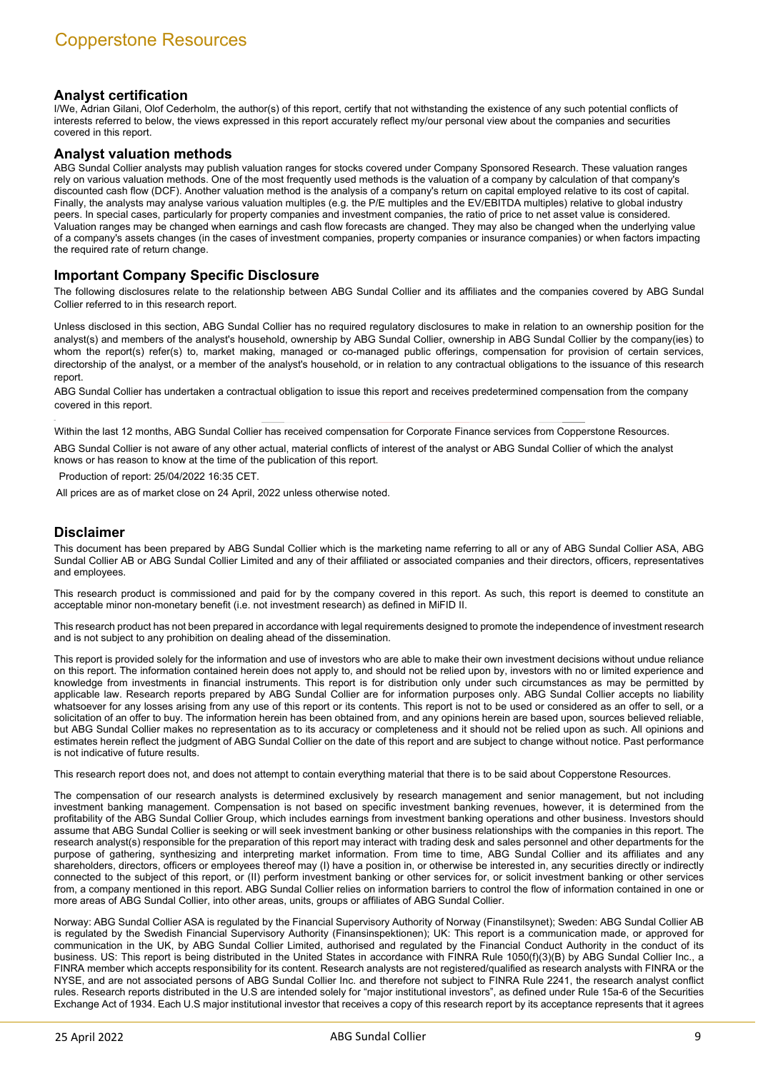# **Analyst certification**

I/We, Adrian Gilani, Olof Cederholm, the author(s) of this report, certify that not withstanding the existence of any such potential conflicts of interests referred to below, the views expressed in this report accurately reflect my/our personal view about the companies and securities covered in this report.

#### **Analyst valuation methods**

ABG Sundal Collier analysts may publish valuation ranges for stocks covered under Company Sponsored Research. These valuation ranges rely on various valuation methods. One of the most frequently used methods is the valuation of a company by calculation of that company's discounted cash flow (DCF). Another valuation method is the analysis of a company's return on capital employed relative to its cost of capital. Finally, the analysts may analyse various valuation multiples (e.g. the P/E multiples and the EV/EBITDA multiples) relative to global industry peers. In special cases, particularly for property companies and investment companies, the ratio of price to net asset value is considered. Valuation ranges may be changed when earnings and cash flow forecasts are changed. They may also be changed when the underlying value of a company's assets changes (in the cases of investment companies, property companies or insurance companies) or when factors impacting the required rate of return change.

## **Important Company Specific Disclosure**

The following disclosures relate to the relationship between ABG Sundal Collier and its affiliates and the companies covered by ABG Sundal Collier referred to in this research report.

Unless disclosed in this section, ABG Sundal Collier has no required regulatory disclosures to make in relation to an ownership position for the analyst(s) and members of the analyst's household, ownership by ABG Sundal Collier, ownership in ABG Sundal Collier by the company(ies) to whom the report(s) refer(s) to, market making, managed or co-managed public offerings, compensation for provision of certain services, directorship of the analyst, or a member of the analyst's household, or in relation to any contractual obligations to the issuance of this research report.

ABG Sundal Collier has undertaken a contractual obligation to issue this report and receives predetermined compensation from the company covered in this report.

Within the last 12 months, ABG Sundal Collier has received compensation for Corporate Finance services from Copperstone Resources.

ABG Sundal Collier is not aware of any other actual, material conflicts of interest of the analyst or ABG Sundal Collier of which the analyst knows or has reason to know at the time of the publication of this report.

Production of report: 25/04/2022 16:35 CET.

All prices are as of market close on 24 April, 2022 unless otherwise noted.

## **Disclaimer**

This document has been prepared by ABG Sundal Collier which is the marketing name referring to all or any of ABG Sundal Collier ASA, ABG Sundal Collier AB or ABG Sundal Collier Limited and any of their affiliated or associated companies and their directors, officers, representatives and employees.

This research product is commissioned and paid for by the company covered in this report. As such, this report is deemed to constitute an acceptable minor non-monetary benefit (i.e. not investment research) as defined in MiFID II.

This research product has not been prepared in accordance with legal requirements designed to promote the independence of investment research and is not subject to any prohibition on dealing ahead of the dissemination.

This report is provided solely for the information and use of investors who are able to make their own investment decisions without undue reliance on this report. The information contained herein does not apply to, and should not be relied upon by, investors with no or limited experience and knowledge from investments in financial instruments. This report is for distribution only under such circumstances as may be permitted by applicable law. Research reports prepared by ABG Sundal Collier are for information purposes only. ABG Sundal Collier accepts no liability whatsoever for any losses arising from any use of this report or its contents. This report is not to be used or considered as an offer to sell, or a solicitation of an offer to buy. The information herein has been obtained from, and any opinions herein are based upon, sources believed reliable, but ABG Sundal Collier makes no representation as to its accuracy or completeness and it should not be relied upon as such. All opinions and estimates herein reflect the judgment of ABG Sundal Collier on the date of this report and are subject to change without notice. Past performance is not indicative of future results.

This research report does not, and does not attempt to contain everything material that there is to be said about Copperstone Resources.

The compensation of our research analysts is determined exclusively by research management and senior management, but not including investment banking management. Compensation is not based on specific investment banking revenues, however, it is determined from the profitability of the ABG Sundal Collier Group, which includes earnings from investment banking operations and other business. Investors should assume that ABG Sundal Collier is seeking or will seek investment banking or other business relationships with the companies in this report. The research analyst(s) responsible for the preparation of this report may interact with trading desk and sales personnel and other departments for the purpose of gathering, synthesizing and interpreting market information. From time to time, ABG Sundal Collier and its affiliates and any shareholders, directors, officers or employees thereof may (I) have a position in, or otherwise be interested in, any securities directly or indirectly connected to the subject of this report, or (II) perform investment banking or other services for, or solicit investment banking or other services from, a company mentioned in this report. ABG Sundal Collier relies on information barriers to control the flow of information contained in one or more areas of ABG Sundal Collier, into other areas, units, groups or affiliates of ABG Sundal Collier.

Norway: ABG Sundal Collier ASA is regulated by the Financial Supervisory Authority of Norway (Finanstilsynet); Sweden: ABG Sundal Collier AB is regulated by the Swedish Financial Supervisory Authority (Finansinspektionen); UK: This report is a communication made, or approved for communication in the UK, by ABG Sundal Collier Limited, authorised and regulated by the Financial Conduct Authority in the conduct of its business. US: This report is being distributed in the United States in accordance with FINRA Rule 1050(f)(3)(B) by ABG Sundal Collier Inc., a FINRA member which accepts responsibility for its content. Research analysts are not registered/qualified as research analysts with FINRA or the NYSE, and are not associated persons of ABG Sundal Collier Inc. and therefore not subject to FINRA Rule 2241, the research analyst conflict rules. Research reports distributed in the U.S are intended solely for "major institutional investors", as defined under Rule 15a-6 of the Securities Exchange Act of 1934. Each U.S major institutional investor that receives a copy of this research report by its acceptance represents that it agrees